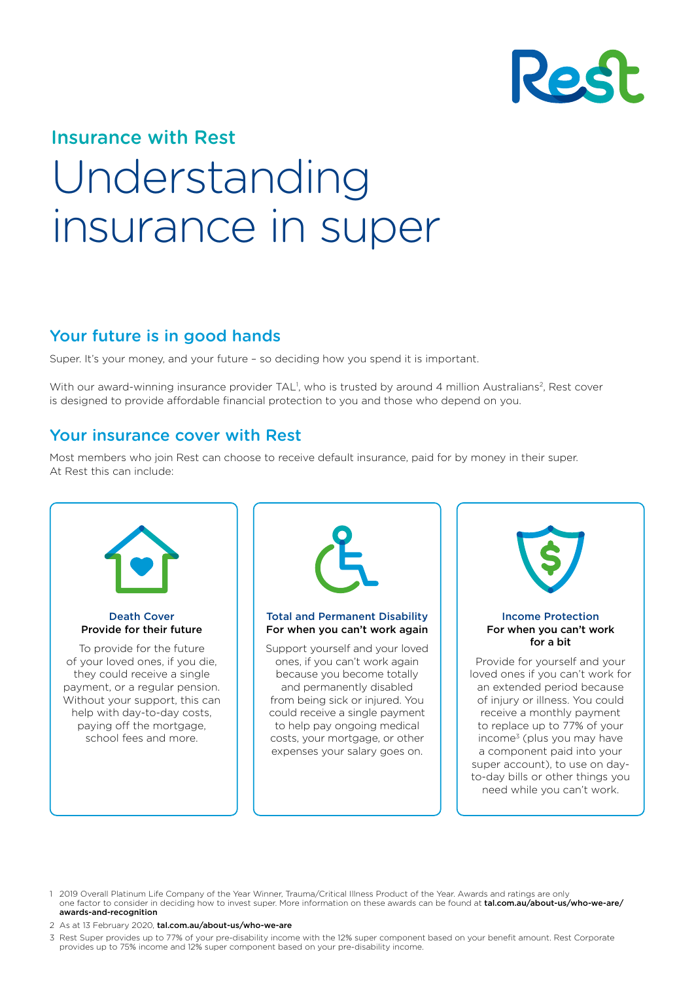

# Insurance with Rest Understanding insurance in super

# Your future is in good hands

Super. It's your money, and your future – so deciding how you spend it is important.

With our award-winning insurance provider TAL<sup>1</sup>, who is trusted by around 4 million Australians<sup>2</sup>, Rest cover is designed to provide affordable financial protection to you and those who depend on you.

#### Your insurance cover with Rest

Most members who join Rest can choose to receive default insurance, paid for by money in their super. At Rest this can include:



1 2019 Overall Platinum Life Company of the Year Winner, Trauma/Critical Illness Product of the Year. Awards and ratings are only one factor to consider in deciding how to invest super. More information on these awards can be found at [tal.com.au/about-us/who-we-are/](http://tal.com.au/about-us/who-we-are/awards-and-recognition) [awards-and-recognition](http://tal.com.au/about-us/who-we-are/awards-and-recognition)

2 As at 13 February 2020, [tal.com.au/about-us/who-we-are](https://www.tal.com.au/about-us/who-we-are)

3 Rest Super provides up to 77% of your pre-disability income with the 12% super component based on your benefit amount. Rest Corporate provides up to 75% income and 12% super component based on your pre-disability income.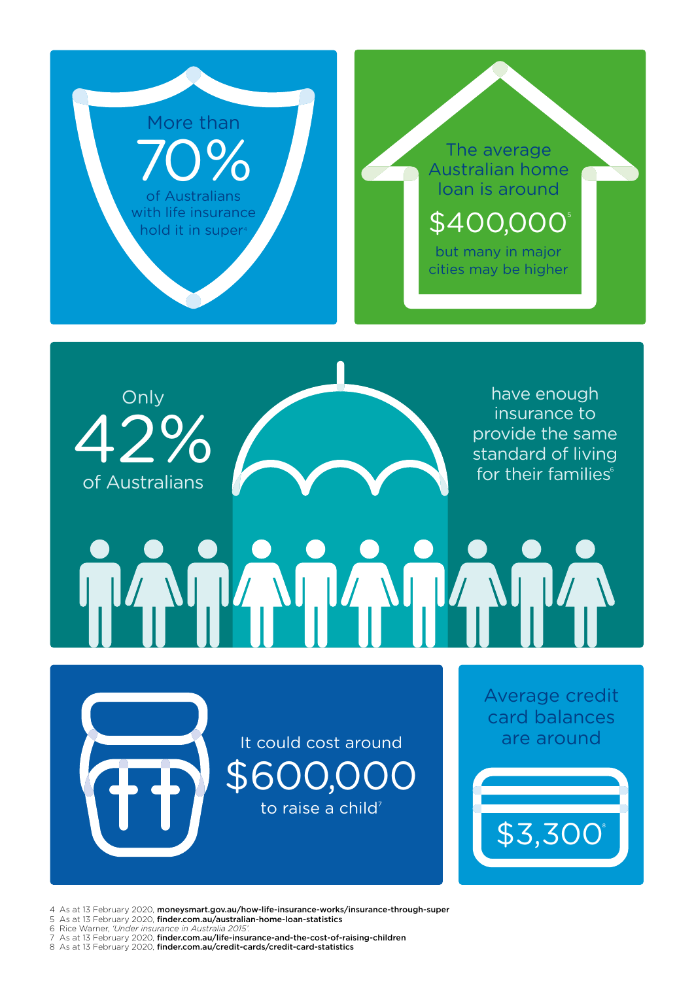



have enough insurance to provide the same standard of living for their families<sup>6</sup>

# AMAM

It could cost around \$600,000 to raise a child<sup>7</sup>

Average credit card balances are around

\$3,3008

4 As at 13 February 2020, [moneysmart.gov.au/how-life-insurance-works/insurance-through-super](https://moneysmart.gov.au/how-life-insurance-works/insurance-through-super)

- 5 As at 13 February 2020, [finder.com.au/australian-home-loan-statistics](https://www.finder.com.au/australian-home-loan-statistics)
- 6 Rice Warner, *'Under insurance in Australia 2015'.*
- As at 13 February 2020, [finder.com.au/life-insurance-and-the-cost-of-raising-children](https://www.finder.com.au/life-insurance-and-the-cost-of-raising-children)

8 As at 13 February 2020, finder.com.au/credit-cards/credit-card-statistics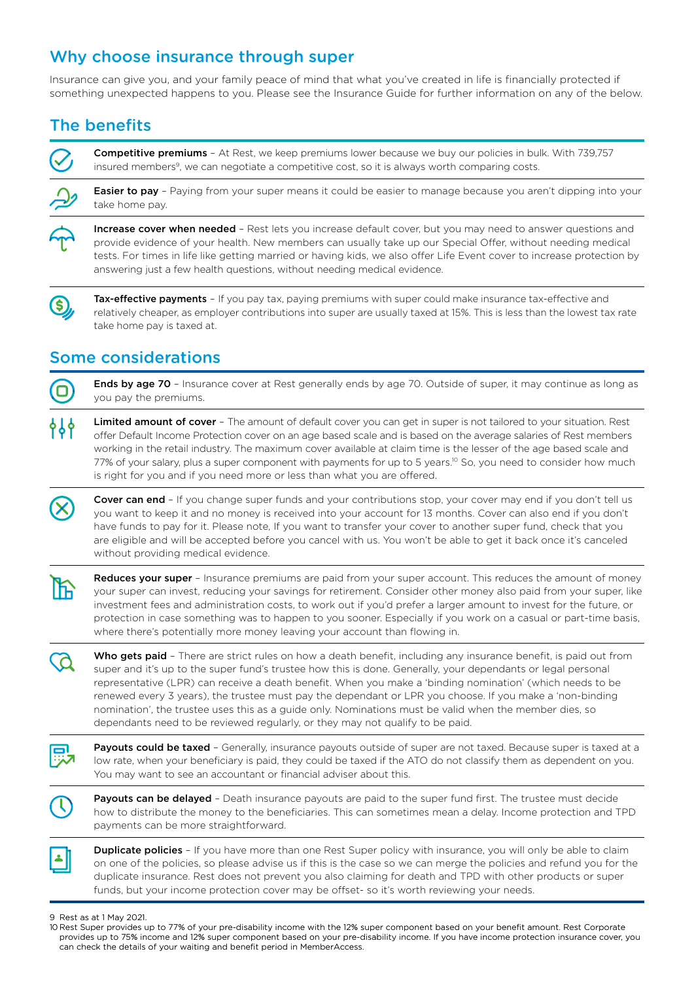# Why choose insurance through super

Insurance can give you, and your family peace of mind that what you've created in life is financially protected if something unexpected happens to you. Please see the Insurance Guide for further information on any of the below.

# The benefits

Competitive premiums - At Rest, we keep premiums lower because we buy our policies in bulk. With 739,757 insured members<sup>9</sup>, we can negotiate a competitive cost, so it is always worth comparing costs.



Increase cover when needed - Rest lets you increase default cover, but you may need to answer questions and provide evidence of your health. New members can usually take up our Special Offer, without needing medical tests. For times in life like getting married or having kids, we also offer Life Event cover to increase protection by answering just a few health questions, without needing medical evidence.



Tax-effective payments - If you pay tax, paying premiums with super could make insurance tax-effective and relatively cheaper, as employer contributions into super are usually taxed at 15%. This is less than the lowest tax rate take home pay is taxed at.

# Some considerations



Ends by age 70 - Insurance cover at Rest generally ends by age 70. Outside of super, it may continue as long as you pay the premiums.



Limited amount of cover - The amount of default cover you can get in super is not tailored to your situation. Rest offer Default Income Protection cover on an age based scale and is based on the average salaries of Rest members working in the retail industry. The maximum cover available at claim time is the lesser of the age based scale and 77% of your salary, plus a super component with payments for up to 5 years.<sup>10</sup> So, you need to consider how much is right for you and if you need more or less than what you are offered.

Cover can end - If you change super funds and your contributions stop, your cover may end if you don't tell us you want to keep it and no money is received into your account for 13 months. Cover can also end if you don't have funds to pay for it. Please note, If you want to transfer your cover to another super fund, check that you are eligible and will be accepted before you cancel with us. You won't be able to get it back once it's canceled without providing medical evidence.



Reduces your super - Insurance premiums are paid from your super account. This reduces the amount of money your super can invest, reducing your savings for retirement. Consider other money also paid from your super, like investment fees and administration costs, to work out if you'd prefer a larger amount to invest for the future, or protection in case something was to happen to you sooner. Especially if you work on a casual or part-time basis, where there's potentially more money leaving your account than flowing in.

Who gets paid - There are strict rules on how a death benefit, including any insurance benefit, is paid out from super and it's up to the super fund's trustee how this is done. Generally, your dependants or legal personal representative (LPR) can receive a death benefit. When you make a 'binding nomination' (which needs to be renewed every 3 years), the trustee must pay the dependant or LPR you choose. If you make a 'non-binding nomination', the trustee uses this as a guide only. Nominations must be valid when the member dies, so dependants need to be reviewed regularly, or they may not qualify to be paid.

Payouts could be taxed - Generally, insurance payouts outside of super are not taxed. Because super is taxed at a low rate, when your beneficiary is paid, they could be taxed if the ATO do not classify them as dependent on you. You may want to see an accountant or financial adviser about this.



Payouts can be delayed - Death insurance payouts are paid to the super fund first. The trustee must decide how to distribute the money to the beneficiaries. This can sometimes mean a delay. Income protection and TPD payments can be more straightforward.



**Duplicate policies** - If you have more than one Rest Super policy with insurance, you will only be able to claim on one of the policies, so please advise us if this is the case so we can merge the policies and refund you for the duplicate insurance. Rest does not prevent you also claiming for death and TPD with other products or super funds, but your income protection cover may be offset- so it's worth reviewing your needs.

9 Rest as at 1 May 2021.

<sup>10</sup> Rest Super provides up to 77% of your pre-disability income with the 12% super component based on your benefit amount. Rest Corporate provides up to 75% income and 12% super component based on your pre-disability income. If you have income protection insurance cover, you can check the details of your waiting and benefit period in MemberAccess.